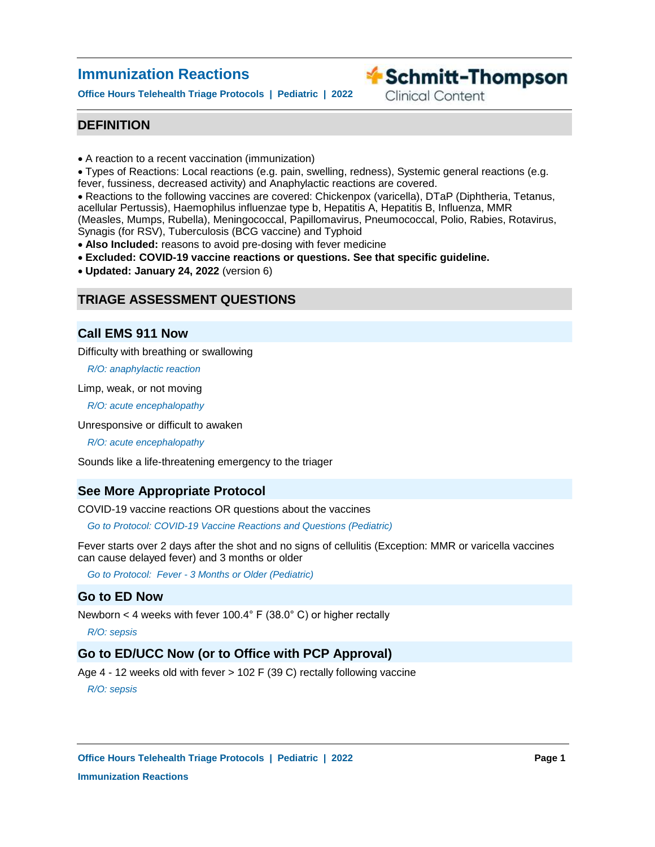# **Immunization Reactions**

**Office Hours Telehealth Triage Protocols | Pediatric | 2022**

**Exercise Schmitt-Thompson** 

**Clinical Content** 

# **DEFINITION**

• A reaction to a recent vaccination (immunization)

Types of Reactions: Local reactions (e.g. pain, swelling, redness), Systemic general reactions (e.g. fever, fussiness, decreased activity) and Anaphylactic reactions are covered.

Reactions to the following vaccines are covered: Chickenpox (varicella), DTaP (Diphtheria, Tetanus, acellular Pertussis), Haemophilus influenzae type b, Hepatitis A, Hepatitis B, Influenza, MMR

(Measles, Mumps, Rubella), Meningococcal, Papillomavirus, Pneumococcal, Polio, Rabies, Rotavirus, Synagis (for RSV), Tuberculosis (BCG vaccine) and Typhoid

**Also Included:** reasons to avoid pre-dosing with fever medicine

- **Excluded: COVID-19 vaccine reactions or questions. See that specific guideline.**
- **Updated: January 24, 2022** (version 6)

# **TRIAGE ASSESSMENT QUESTIONS**

# **Call EMS 911 Now**

Difficulty with breathing or swallowing

*R/O: anaphylactic reaction*

Limp, weak, or not moving

*R/O: acute encephalopathy*

Unresponsive or difficult to awaken

*R/O: acute encephalopathy*

Sounds like a life-threatening emergency to the triager

# **See More Appropriate Protocol**

COVID-19 vaccine reactions OR questions about the vaccines

*Go to Protocol: COVID-19 Vaccine Reactions and Questions (Pediatric)*

Fever starts over 2 days after the shot and no signs of cellulitis (Exception: MMR or varicella vaccines can cause delayed fever) and 3 months or older

*Go to Protocol: Fever - 3 Months or Older (Pediatric)*

# **Go to ED Now**

Newborn < 4 weeks with fever 100.4° F (38.0° C) or higher rectally

*R/O: sepsis*

# **Go to ED/UCC Now (or to Office with PCP Approval)**

Age 4 - 12 weeks old with fever > 102 F (39 C) rectally following vaccine

*R/O: sepsis*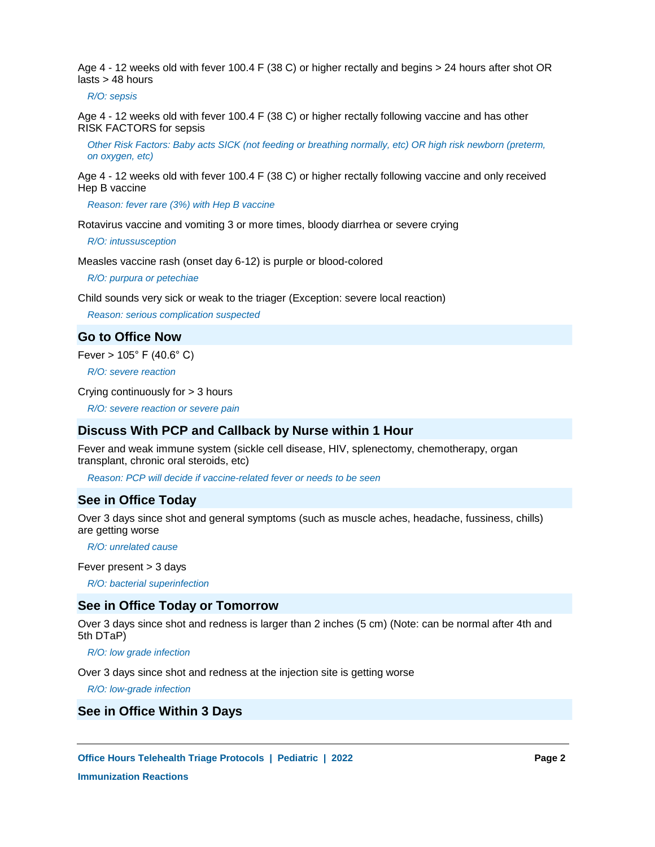Age 4 - 12 weeks old with fever 100.4 F (38 C) or higher rectally and begins > 24 hours after shot OR lasts > 48 hours

*R/O: sepsis*

Age 4 - 12 weeks old with fever 100.4 F (38 C) or higher rectally following vaccine and has other RISK FACTORS for sepsis

*Other Risk Factors: Baby acts SICK (not feeding or breathing normally, etc) OR high risk newborn (preterm, on oxygen, etc)*

Age 4 - 12 weeks old with fever 100.4 F (38 C) or higher rectally following vaccine and only received Hep B vaccine

*Reason: fever rare (3%) with Hep B vaccine*

Rotavirus vaccine and vomiting 3 or more times, bloody diarrhea or severe crying

*R/O: intussusception*

Measles vaccine rash (onset day 6-12) is purple or blood-colored

*R/O: purpura or petechiae*

Child sounds very sick or weak to the triager (Exception: severe local reaction)

*Reason: serious complication suspected*

**Go to Office Now**

Fever  $> 105^{\circ}$  F (40.6 $^{\circ}$  C)

*R/O: severe reaction*

Crying continuously for > 3 hours

*R/O: severe reaction or severe pain*

## **Discuss With PCP and Callback by Nurse within 1 Hour**

Fever and weak immune system (sickle cell disease, HIV, splenectomy, chemotherapy, organ transplant, chronic oral steroids, etc)

*Reason: PCP will decide if vaccine-related fever or needs to be seen*

## **See in Office Today**

Over 3 days since shot and general symptoms (such as muscle aches, headache, fussiness, chills) are getting worse

 *R/O: unrelated cause*

Fever present > 3 days

*R/O: bacterial superinfection*

# **See in Office Today or Tomorrow**

Over 3 days since shot and redness is larger than 2 inches (5 cm) (Note: can be normal after 4th and 5th DTaP)

*R/O: low grade infection*

Over 3 days since shot and redness at the injection site is getting worse

*R/O: low-grade infection*

# **See in Office Within 3 Days**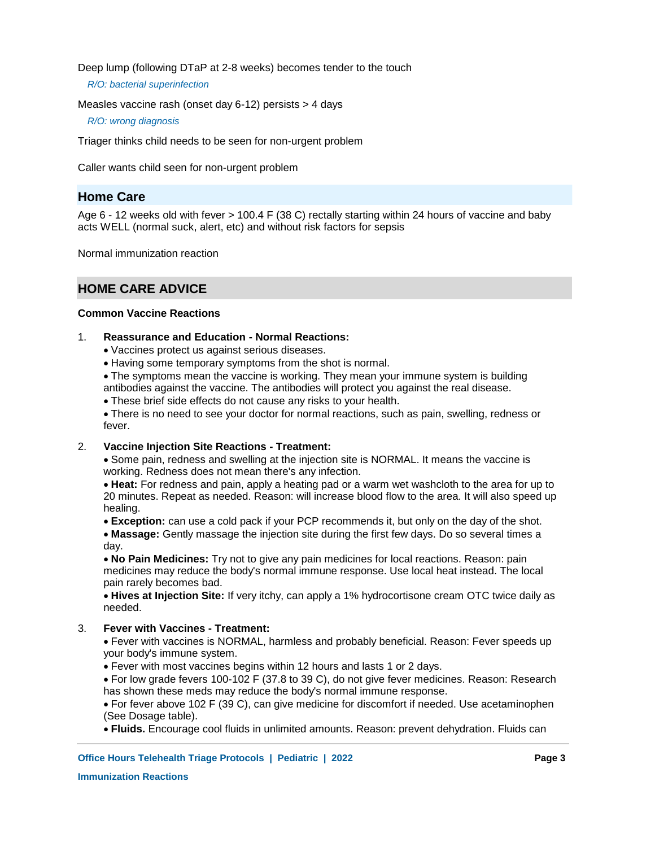Deep lump (following DTaP at 2-8 weeks) becomes tender to the touch

*R/O: bacterial superinfection*

Measles vaccine rash (onset day 6-12) persists > 4 days

*R/O: wrong diagnosis*

Triager thinks child needs to be seen for non-urgent problem

Caller wants child seen for non-urgent problem

# **Home Care**

Age 6 - 12 weeks old with fever > 100.4 F (38 C) rectally starting within 24 hours of vaccine and baby acts WELL (normal suck, alert, etc) and without risk factors for sepsis

Normal immunization reaction

# **HOME CARE ADVICE**

# **Common Vaccine Reactions**

#### **Reassurance and Education - Normal Reactions:** 1.

- Vaccines protect us against serious diseases.
- Having some temporary symptoms from the shot is normal.

The symptoms mean the vaccine is working. They mean your immune system is building antibodies against the vaccine. The antibodies will protect you against the real disease.

These brief side effects do not cause any risks to your health.

There is no need to see your doctor for normal reactions, such as pain, swelling, redness or fever.

#### **Vaccine Injection Site Reactions - Treatment:** 2.

Some pain, redness and swelling at the injection site is NORMAL. It means the vaccine is working. Redness does not mean there's any infection.

**Heat:** For redness and pain, apply a heating pad or a warm wet washcloth to the area for up to 20 minutes. Repeat as needed. Reason: will increase blood flow to the area. It will also speed up healing.

**Exception:** can use a cold pack if your PCP recommends it, but only on the day of the shot.

**Massage:** Gently massage the injection site during the first few days. Do so several times a day.

**No Pain Medicines:** Try not to give any pain medicines for local reactions. Reason: pain medicines may reduce the body's normal immune response. Use local heat instead. The local pain rarely becomes bad.

**Hives at Injection Site:** If very itchy, can apply a 1% hydrocortisone cream OTC twice daily as needed.

#### **Fever with Vaccines - Treatment:** 3.

Fever with vaccines is NORMAL, harmless and probably beneficial. Reason: Fever speeds up your body's immune system.

- Fever with most vaccines begins within 12 hours and lasts 1 or 2 days.
- For low grade fevers 100-102 F (37.8 to 39 C), do not give fever medicines. Reason: Research has shown these meds may reduce the body's normal immune response.

For fever above 102 F (39 C), can give medicine for discomfort if needed. Use acetaminophen (See Dosage table).

**Fluids.** Encourage cool fluids in unlimited amounts. Reason: prevent dehydration. Fluids can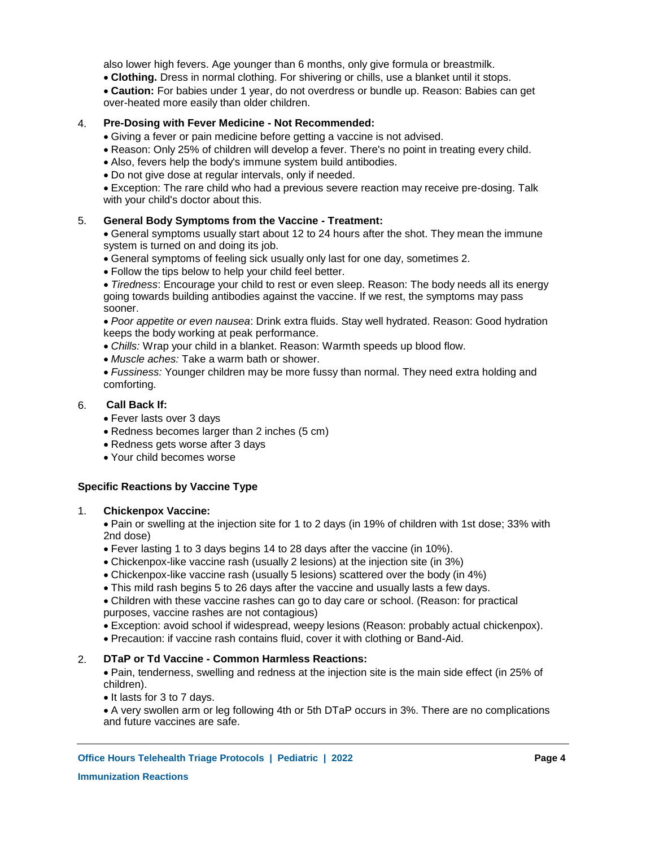also lower high fevers. Age younger than 6 months, only give formula or breastmilk.

- **Clothing.** Dress in normal clothing. For shivering or chills, use a blanket until it stops.
- **Caution:** For babies under 1 year, do not overdress or bundle up. Reason: Babies can get over-heated more easily than older children.

#### **Pre-Dosing with Fever Medicine - Not Recommended:** 4.

- Giving a fever or pain medicine before getting a vaccine is not advised.
- Reason: Only 25% of children will develop a fever. There's no point in treating every child.
- Also, fevers help the body's immune system build antibodies.
- Do not give dose at regular intervals, only if needed.

Exception: The rare child who had a previous severe reaction may receive pre-dosing. Talk with your child's doctor about this.

#### **General Body Symptoms from the Vaccine - Treatment:** 5.

General symptoms usually start about 12 to 24 hours after the shot. They mean the immune system is turned on and doing its job.

- General symptoms of feeling sick usually only last for one day, sometimes 2.
- Follow the tips below to help your child feel better.

*Tiredness*: Encourage your child to rest or even sleep. Reason: The body needs all its energy going towards building antibodies against the vaccine. If we rest, the symptoms may pass sooner.

*Poor appetite or even nausea*: Drink extra fluids. Stay well hydrated. Reason: Good hydration keeps the body working at peak performance.

- *Chills:* Wrap your child in a blanket. Reason: Warmth speeds up blood flow.
- *Muscle aches:* Take a warm bath or shower.
- *Fussiness:* Younger children may be more fussy than normal. They need extra holding and comforting.

#### **Call Back If:** 6.

- Fever lasts over 3 days
- Redness becomes larger than 2 inches (5 cm)
- Redness gets worse after 3 days
- Your child becomes worse

# **Specific Reactions by Vaccine Type**

#### **Chickenpox Vaccine:** 1.

Pain or swelling at the injection site for 1 to 2 days (in 19% of children with 1st dose; 33% with 2nd dose)

- Fever lasting 1 to 3 days begins 14 to 28 days after the vaccine (in 10%).
- Chickenpox-like vaccine rash (usually 2 lesions) at the injection site (in 3%)
- Chickenpox-like vaccine rash (usually 5 lesions) scattered over the body (in 4%)
- This mild rash begins 5 to 26 days after the vaccine and usually lasts a few days.

Children with these vaccine rashes can go to day care or school. (Reason: for practical purposes, vaccine rashes are not contagious)

- Exception: avoid school if widespread, weepy lesions (Reason: probably actual chickenpox).
- Precaution: if vaccine rash contains fluid, cover it with clothing or Band-Aid.

#### **DTaP or Td Vaccine - Common Harmless Reactions:** 2.

Pain, tenderness, swelling and redness at the injection site is the main side effect (in 25% of children).

• It lasts for 3 to 7 days.

A very swollen arm or leg following 4th or 5th DTaP occurs in 3%. There are no complications and future vaccines are safe.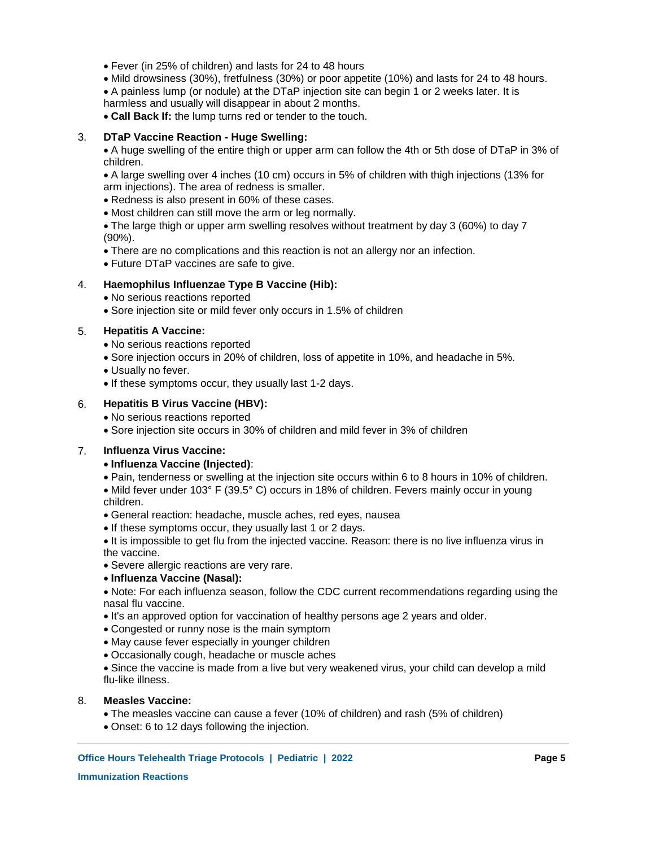- Fever (in 25% of children) and lasts for 24 to 48 hours
- Mild drowsiness (30%), fretfulness (30%) or poor appetite (10%) and lasts for 24 to 48 hours.
- A painless lump (or nodule) at the DTaP injection site can begin 1 or 2 weeks later. It is harmless and usually will disappear in about 2 months.
- **Call Back If:** the lump turns red or tender to the touch.

#### **DTaP Vaccine Reaction - Huge Swelling:** 3.

- A huge swelling of the entire thigh or upper arm can follow the 4th or 5th dose of DTaP in 3% of children.
- A large swelling over 4 inches (10 cm) occurs in 5% of children with thigh injections (13% for arm injections). The area of redness is smaller.
- Redness is also present in 60% of these cases.
- Most children can still move the arm or leg normally.
- The large thigh or upper arm swelling resolves without treatment by day 3 (60%) to day 7 (90%).
- There are no complications and this reaction is not an allergy nor an infection.
- Future DTaP vaccines are safe to give.

#### **Haemophilus Influenzae Type B Vaccine (Hib):** 4.

- No serious reactions reported
- Sore injection site or mild fever only occurs in 1.5% of children

### **Hepatitis A Vaccine:** 5.

- No serious reactions reported
- Sore injection occurs in 20% of children, loss of appetite in 10%, and headache in 5%.
- Usually no fever.
- If these symptoms occur, they usually last 1-2 days.

#### **Hepatitis B Virus Vaccine (HBV):** 6.

- No serious reactions reported
- Sore injection site occurs in 30% of children and mild fever in 3% of children

### **Influenza Virus Vaccine:** 7.

## **Influenza Vaccine (Injected)**:

- Pain, tenderness or swelling at the injection site occurs within 6 to 8 hours in 10% of children.
- Mild fever under 103° F (39.5° C) occurs in 18% of children. Fevers mainly occur in young children.
- General reaction: headache, muscle aches, red eyes, nausea
- If these symptoms occur, they usually last 1 or 2 days.
- It is impossible to get flu from the injected vaccine. Reason: there is no live influenza virus in the vaccine.
- Severe allergic reactions are very rare.
- **Influenza Vaccine (Nasal):**
- Note: For each influenza season, follow the CDC current recommendations regarding using the nasal flu vaccine.
- It's an approved option for vaccination of healthy persons age 2 years and older.
- Congested or runny nose is the main symptom
- May cause fever especially in younger children
- Occasionally cough, headache or muscle aches

Since the vaccine is made from a live but very weakened virus, your child can develop a mild flu-like illness.

#### **Measles Vaccine:** 8.

- The measles vaccine can cause a fever (10% of children) and rash (5% of children)
- Onset: 6 to 12 days following the injection.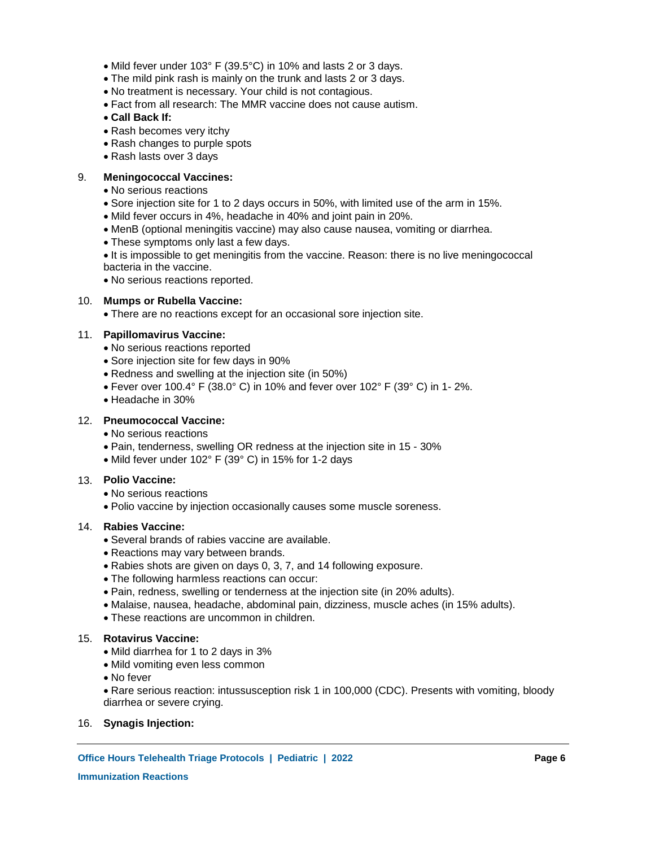- Mild fever under 103° F (39.5°C) in 10% and lasts 2 or 3 days.
- The mild pink rash is mainly on the trunk and lasts 2 or 3 days.
- No treatment is necessary. Your child is not contagious.
- Fact from all research: The MMR vaccine does not cause autism.
- **Call Back If:**
- Rash becomes very itchy
- Rash changes to purple spots
- Rash lasts over 3 days

#### **Meningococcal Vaccines:** 9.

- No serious reactions
- Sore injection site for 1 to 2 days occurs in 50%, with limited use of the arm in 15%.
- Mild fever occurs in 4%, headache in 40% and joint pain in 20%.
- MenB (optional meningitis vaccine) may also cause nausea, vomiting or diarrhea.
- These symptoms only last a few days.
- It is impossible to get meningitis from the vaccine. Reason: there is no live meningococcal bacteria in the vaccine.
- No serious reactions reported.

# **Mumps or Rubella Vaccine:** 10.

There are no reactions except for an occasional sore injection site.

## **Papillomavirus Vaccine:** 11.

- No serious reactions reported
- Sore injection site for few days in 90%
- Redness and swelling at the injection site (in 50%)
- Fever over 100.4° F (38.0° C) in 10% and fever over 102° F (39° C) in 1-2%.
- Headache in 30%

# **Pneumococcal Vaccine:** 12.

- No serious reactions
- Pain, tenderness, swelling OR redness at the injection site in 15 30%
- Mild fever under 102° F (39° C) in 15% for 1-2 days

## **Polio Vaccine:**  13.

- No serious reactions
- Polio vaccine by injection occasionally causes some muscle soreness.

## **Rabies Vaccine:** 14.

- Several brands of rabies vaccine are available.
- Reactions may vary between brands.
- Rabies shots are given on days 0, 3, 7, and 14 following exposure.
- The following harmless reactions can occur:
- Pain, redness, swelling or tenderness at the injection site (in 20% adults).
- Malaise, nausea, headache, abdominal pain, dizziness, muscle aches (in 15% adults).
- These reactions are uncommon in children.

## **Rotavirus Vaccine:** 15.

- Mild diarrhea for 1 to 2 days in 3%
- Mild vomiting even less common
- No fever
- Rare serious reaction: intussusception risk 1 in 100,000 (CDC). Presents with vomiting, bloody diarrhea or severe crying.
- 16. **Synagis Injection:**

# **Office Hours Telehealth Triage Protocols | Pediatric | 2022 Page 6**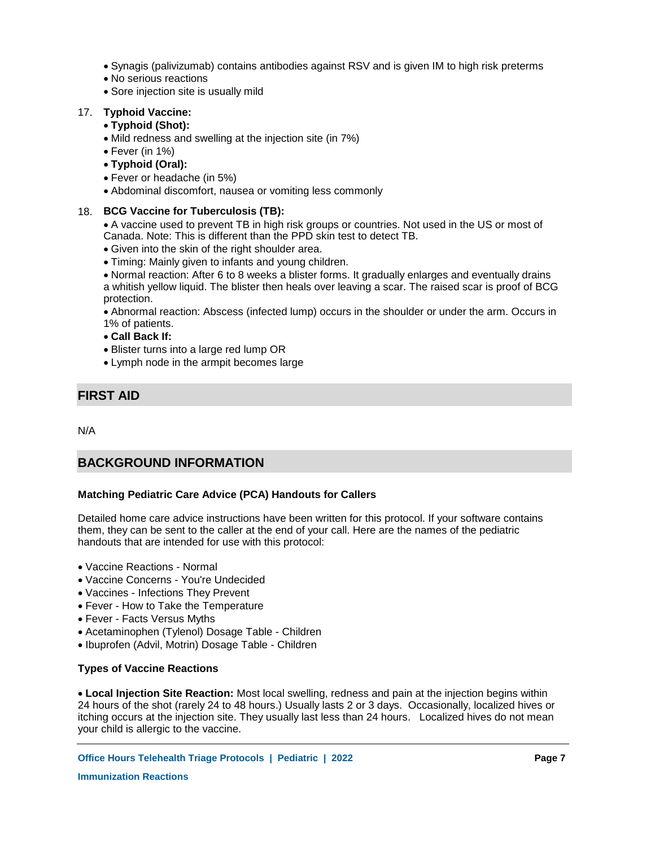- Synagis (palivizumab) contains antibodies against RSV and is given IM to high risk preterms
- No serious reactions
- Sore injection site is usually mild

# **Typhoid Vaccine:** 17.

# **Typhoid (Shot):**

- Mild redness and swelling at the injection site (in 7%)
- Fever (in 1%)
- **Typhoid (Oral):**
- Fever or headache (in 5%)
- Abdominal discomfort, nausea or vomiting less commonly

# **BCG Vaccine for Tuberculosis (TB):** 18.

A vaccine used to prevent TB in high risk groups or countries. Not used in the US or most of Canada. Note: This is different than the PPD skin test to detect TB.

- Given into the skin of the right shoulder area.
- Timing: Mainly given to infants and young children.

Normal reaction: After 6 to 8 weeks a blister forms. It gradually enlarges and eventually drains a whitish yellow liquid. The blister then heals over leaving a scar. The raised scar is proof of BCG protection.

Abnormal reaction: Abscess (infected lump) occurs in the shoulder or under the arm. Occurs in 1% of patients.

**Call Back If:**

- Blister turns into a large red lump OR
- Lymph node in the armpit becomes large

# **FIRST AID**

N/A

# **BACKGROUND INFORMATION**

# **Matching Pediatric Care Advice (PCA) Handouts for Callers**

Detailed home care advice instructions have been written for this protocol. If your software contains them, they can be sent to the caller at the end of your call. Here are the names of the pediatric handouts that are intended for use with this protocol:

- Vaccine Reactions Normal
- Vaccine Concerns You're Undecided
- Vaccines Infections They Prevent
- Fever How to Take the Temperature
- Fever Facts Versus Myths
- Acetaminophen (Tylenol) Dosage Table Children
- Ibuprofen (Advil, Motrin) Dosage Table Children

# **Types of Vaccine Reactions**

**Local Injection Site Reaction:** Most local swelling, redness and pain at the injection begins within 24 hours of the shot (rarely 24 to 48 hours.) Usually lasts 2 or 3 days. Occasionally, localized hives or itching occurs at the injection site. They usually last less than 24 hours. Localized hives do not mean your child is allergic to the vaccine.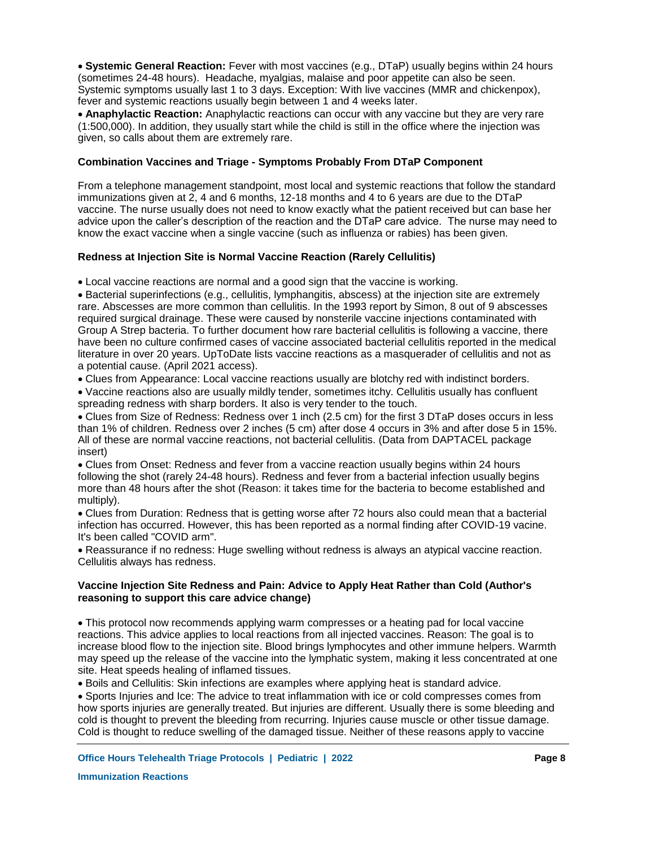**Systemic General Reaction:** Fever with most vaccines (e.g., DTaP) usually begins within 24 hours (sometimes 24-48 hours). Headache, myalgias, malaise and poor appetite can also be seen. Systemic symptoms usually last 1 to 3 days. Exception: With live vaccines (MMR and chickenpox), fever and systemic reactions usually begin between 1 and 4 weeks later.

**Anaphylactic Reaction:** Anaphylactic reactions can occur with any vaccine but they are very rare (1:500,000). In addition, they usually start while the child is still in the office where the injection was given, so calls about them are extremely rare.

## **Combination Vaccines and Triage - Symptoms Probably From DTaP Component**

From a telephone management standpoint, most local and systemic reactions that follow the standard immunizations given at 2, 4 and 6 months, 12-18 months and 4 to 6 years are due to the DTaP vaccine. The nurse usually does not need to know exactly what the patient received but can base her advice upon the caller's description of the reaction and the DTaP care advice. The nurse may need to know the exact vaccine when a single vaccine (such as influenza or rabies) has been given.

## **Redness at Injection Site is Normal Vaccine Reaction (Rarely Cellulitis)**

Local vaccine reactions are normal and a good sign that the vaccine is working.

Bacterial superinfections (e.g., cellulitis, lymphangitis, abscess) at the injection site are extremely rare. Abscesses are more common than cellulitis. In the 1993 report by Simon, 8 out of 9 abscesses required surgical drainage. These were caused by nonsterile vaccine injections contaminated with Group A Strep bacteria. To further document how rare bacterial cellulitis is following a vaccine, there have been no culture confirmed cases of vaccine associated bacterial cellulitis reported in the medical literature in over 20 years. UpToDate lists vaccine reactions as a masquerader of cellulitis and not as a potential cause. (April 2021 access).

Clues from Appearance: Local vaccine reactions usually are blotchy red with indistinct borders.

Vaccine reactions also are usually mildly tender, sometimes itchy. Cellulitis usually has confluent spreading redness with sharp borders. It also is very tender to the touch.

Clues from Size of Redness: Redness over 1 inch (2.5 cm) for the first 3 DTaP doses occurs in less than 1% of children. Redness over 2 inches (5 cm) after dose 4 occurs in 3% and after dose 5 in 15%. All of these are normal vaccine reactions, not bacterial cellulitis. (Data from DAPTACEL package insert)

Clues from Onset: Redness and fever from a vaccine reaction usually begins within 24 hours following the shot (rarely 24-48 hours). Redness and fever from a bacterial infection usually begins more than 48 hours after the shot (Reason: it takes time for the bacteria to become established and multiply).

Clues from Duration: Redness that is getting worse after 72 hours also could mean that a bacterial infection has occurred. However, this has been reported as a normal finding after COVID-19 vacine. It's been called "COVID arm".

Reassurance if no redness: Huge swelling without redness is always an atypical vaccine reaction. Cellulitis always has redness.

## **Vaccine Injection Site Redness and Pain: Advice to Apply Heat Rather than Cold (Author's reasoning to support this care advice change)**

This protocol now recommends applying warm compresses or a heating pad for local vaccine reactions. This advice applies to local reactions from all injected vaccines. Reason: The goal is to increase blood flow to the injection site. Blood brings lymphocytes and other immune helpers. Warmth may speed up the release of the vaccine into the lymphatic system, making it less concentrated at one site. Heat speeds healing of inflamed tissues.

Boils and Cellulitis: Skin infections are examples where applying heat is standard advice.

Sports Injuries and Ice: The advice to treat inflammation with ice or cold compresses comes from how sports injuries are generally treated. But injuries are different. Usually there is some bleeding and cold is thought to prevent the bleeding from recurring. Injuries cause muscle or other tissue damage. Cold is thought to reduce swelling of the damaged tissue. Neither of these reasons apply to vaccine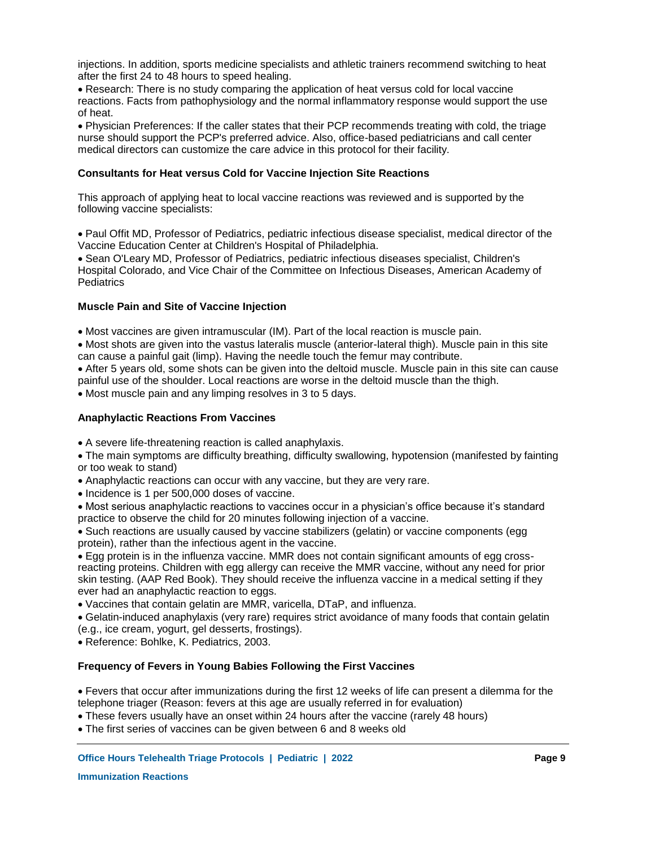injections. In addition, sports medicine specialists and athletic trainers recommend switching to heat after the first 24 to 48 hours to speed healing.

Research: There is no study comparing the application of heat versus cold for local vaccine reactions. Facts from pathophysiology and the normal inflammatory response would support the use of heat.

Physician Preferences: If the caller states that their PCP recommends treating with cold, the triage nurse should support the PCP's preferred advice. Also, office-based pediatricians and call center medical directors can customize the care advice in this protocol for their facility.

### **Consultants for Heat versus Cold for Vaccine Injection Site Reactions**

This approach of applying heat to local vaccine reactions was reviewed and is supported by the following vaccine specialists:

Paul Offit MD, Professor of Pediatrics, pediatric infectious disease specialist, medical director of the Vaccine Education Center at Children's Hospital of Philadelphia.

Sean O'Leary MD, Professor of Pediatrics, pediatric infectious diseases specialist, Children's Hospital Colorado, and Vice Chair of the Committee on Infectious Diseases, American Academy of **Pediatrics** 

# **Muscle Pain and Site of Vaccine Injection**

Most vaccines are given intramuscular (IM). Part of the local reaction is muscle pain.

Most shots are given into the vastus lateralis muscle (anterior-lateral thigh). Muscle pain in this site can cause a painful gait (limp). Having the needle touch the femur may contribute.

After 5 years old, some shots can be given into the deltoid muscle. Muscle pain in this site can cause painful use of the shoulder. Local reactions are worse in the deltoid muscle than the thigh.

Most muscle pain and any limping resolves in 3 to 5 days.

### **Anaphylactic Reactions From Vaccines**

A severe life-threatening reaction is called anaphylaxis.

The main symptoms are difficulty breathing, difficulty swallowing, hypotension (manifested by fainting or too weak to stand)

- Anaphylactic reactions can occur with any vaccine, but they are very rare.
- Incidence is 1 per 500,000 doses of vaccine.

Most serious anaphylactic reactions to vaccines occur in a physician's office because it's standard practice to observe the child for 20 minutes following injection of a vaccine.

Such reactions are usually caused by vaccine stabilizers (gelatin) or vaccine components (egg protein), rather than the infectious agent in the vaccine.

Egg protein is in the influenza vaccine. MMR does not contain significant amounts of egg crossreacting proteins. Children with egg allergy can receive the MMR vaccine, without any need for prior skin testing. (AAP Red Book). They should receive the influenza vaccine in a medical setting if they ever had an anaphylactic reaction to eggs.

Vaccines that contain gelatin are MMR, varicella, DTaP, and influenza.

Gelatin-induced anaphylaxis (very rare) requires strict avoidance of many foods that contain gelatin (e.g., ice cream, yogurt, gel desserts, frostings).

Reference: Bohlke, K. Pediatrics, 2003.

## **Frequency of Fevers in Young Babies Following the First Vaccines**

Fevers that occur after immunizations during the first 12 weeks of life can present a dilemma for the telephone triager (Reason: fevers at this age are usually referred in for evaluation)

These fevers usually have an onset within 24 hours after the vaccine (rarely 48 hours)

The first series of vaccines can be given between 6 and 8 weeks old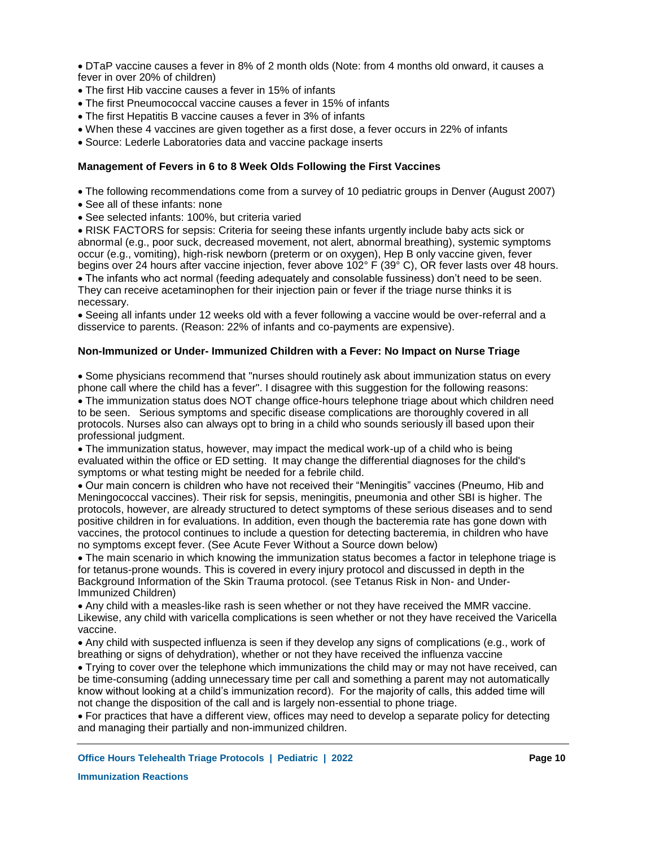DTaP vaccine causes a fever in 8% of 2 month olds (Note: from 4 months old onward, it causes a fever in over 20% of children)

- The first Hib vaccine causes a fever in 15% of infants
- The first Pneumococcal vaccine causes a fever in 15% of infants
- The first Hepatitis B vaccine causes a fever in 3% of infants
- When these 4 vaccines are given together as a first dose, a fever occurs in 22% of infants
- Source: Lederle Laboratories data and vaccine package inserts

### **Management of Fevers in 6 to 8 Week Olds Following the First Vaccines**

- The following recommendations come from a survey of 10 pediatric groups in Denver (August 2007)
- See all of these infants: none
- See selected infants: 100%, but criteria varied

RISK FACTORS for sepsis: Criteria for seeing these infants urgently include baby acts sick or abnormal (e.g., poor suck, decreased movement, not alert, abnormal breathing), systemic symptoms occur (e.g., vomiting), high-risk newborn (preterm or on oxygen), Hep B only vaccine given, fever begins over 24 hours after vaccine injection, fever above 102° F (39° C), OR fever lasts over 48 hours.

The infants who act normal (feeding adequately and consolable fussiness) don't need to be seen. They can receive acetaminophen for their injection pain or fever if the triage nurse thinks it is necessary.

Seeing all infants under 12 weeks old with a fever following a vaccine would be over-referral and a disservice to parents. (Reason: 22% of infants and co-payments are expensive).

### **Non-Immunized or Under- Immunized Children with a Fever: No Impact on Nurse Triage**

Some physicians recommend that "nurses should routinely ask about immunization status on every phone call where the child has a fever". I disagree with this suggestion for the following reasons:

The immunization status does NOT change office-hours telephone triage about which children need to be seen. Serious symptoms and specific disease complications are thoroughly covered in all protocols. Nurses also can always opt to bring in a child who sounds seriously ill based upon their professional judgment.

The immunization status, however, may impact the medical work-up of a child who is being evaluated within the office or ED setting. It may change the differential diagnoses for the child's symptoms or what testing might be needed for a febrile child.

Our main concern is children who have not received their "Meningitis" vaccines (Pneumo, Hib and Meningococcal vaccines). Their risk for sepsis, meningitis, pneumonia and other SBI is higher. The protocols, however, are already structured to detect symptoms of these serious diseases and to send positive children in for evaluations. In addition, even though the bacteremia rate has gone down with vaccines, the protocol continues to include a question for detecting bacteremia, in children who have no symptoms except fever. (See Acute Fever Without a Source down below)

The main scenario in which knowing the immunization status becomes a factor in telephone triage is for tetanus-prone wounds. This is covered in every injury protocol and discussed in depth in the Background Information of the Skin Trauma protocol. (see Tetanus Risk in Non- and Under-Immunized Children)

Any child with a measles-like rash is seen whether or not they have received the MMR vaccine. Likewise, any child with varicella complications is seen whether or not they have received the Varicella vaccine.

Any child with suspected influenza is seen if they develop any signs of complications (e.g., work of breathing or signs of dehydration), whether or not they have received the influenza vaccine

Trying to cover over the telephone which immunizations the child may or may not have received, can be time-consuming (adding unnecessary time per call and something a parent may not automatically know without looking at a child's immunization record). For the majority of calls, this added time will not change the disposition of the call and is largely non-essential to phone triage.

For practices that have a different view, offices may need to develop a separate policy for detecting and managing their partially and non-immunized children.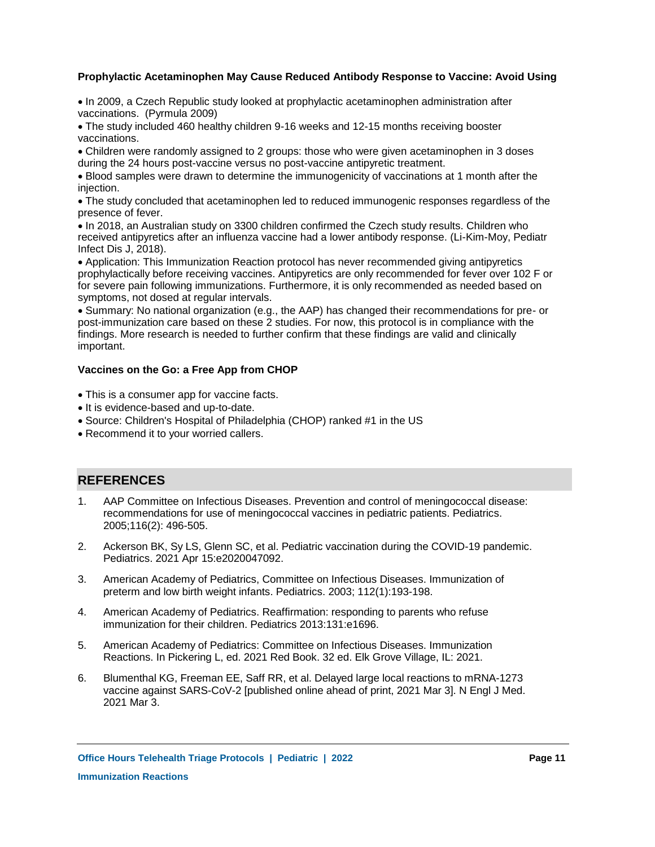# **Prophylactic Acetaminophen May Cause Reduced Antibody Response to Vaccine: Avoid Using**

• In 2009, a Czech Republic study looked at prophylactic acetaminophen administration after vaccinations. (Pyrmula 2009)

The study included 460 healthy children 9-16 weeks and 12-15 months receiving booster vaccinations.

Children were randomly assigned to 2 groups: those who were given acetaminophen in 3 doses during the 24 hours post-vaccine versus no post-vaccine antipyretic treatment.

Blood samples were drawn to determine the immunogenicity of vaccinations at 1 month after the injection.

The study concluded that acetaminophen led to reduced immunogenic responses regardless of the presence of fever.

In 2018, an Australian study on 3300 children confirmed the Czech study results. Children who received antipyretics after an influenza vaccine had a lower antibody response. (Li-Kim-Moy, Pediatr Infect Dis J, 2018).

Application: This Immunization Reaction protocol has never recommended giving antipyretics prophylactically before receiving vaccines. Antipyretics are only recommended for fever over 102 F or for severe pain following immunizations. Furthermore, it is only recommended as needed based on symptoms, not dosed at regular intervals.

Summary: No national organization (e.g., the AAP) has changed their recommendations for pre- or post-immunization care based on these 2 studies. For now, this protocol is in compliance with the findings. More research is needed to further confirm that these findings are valid and clinically important.

# **Vaccines on the Go: a Free App from CHOP**

- This is a consumer app for vaccine facts.
- It is evidence-based and up-to-date.
- Source: Children's Hospital of Philadelphia (CHOP) ranked #1 in the US
- Recommend it to your worried callers.

# **REFERENCES**

- AAP Committee on Infectious Diseases. Prevention and control of meningococcal disease: recommendations for use of meningococcal vaccines in pediatric patients. Pediatrics. 2005;116(2): 496-505. 1.
- Ackerson BK, Sy LS, Glenn SC, et al. Pediatric vaccination during the COVID-19 pandemic. Pediatrics. 2021 Apr 15:e2020047092. 2.
- American Academy of Pediatrics, Committee on Infectious Diseases. Immunization of preterm and low birth weight infants. Pediatrics. 2003; 112(1):193-198. 3.
- American Academy of Pediatrics. Reaffirmation: responding to parents who refuse immunization for their children. Pediatrics 2013:131:e1696. 4.
- American Academy of Pediatrics: Committee on Infectious Diseases. Immunization Reactions. In Pickering L, ed. 2021 Red Book. 32 ed. Elk Grove Village, IL: 2021. 5.
- Blumenthal KG, Freeman EE, Saff RR, et al. Delayed large local reactions to mRNA-1273 vaccine against SARS-CoV-2 [published online ahead of print, 2021 Mar 3]. N Engl J Med. 2021 Mar 3. 6.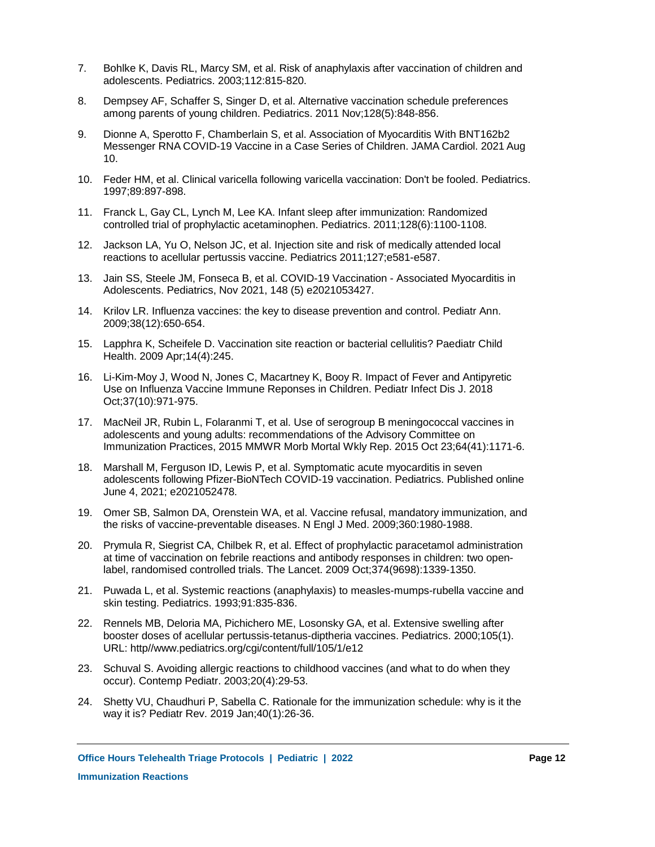- Bohlke K, Davis RL, Marcy SM, et al. Risk of anaphylaxis after vaccination of children and adolescents. Pediatrics. 2003;112:815-820. 7.
- Dempsey AF, Schaffer S, Singer D, et al. Alternative vaccination schedule preferences among parents of young children. Pediatrics. 2011 Nov;128(5):848-856. 8.
- Dionne A, Sperotto F, Chamberlain S, et al. Association of Myocarditis With BNT162b2 Messenger RNA COVID-19 Vaccine in a Case Series of Children. JAMA Cardiol. 2021 Aug 10. 9.
- Feder HM, et al. Clinical varicella following varicella vaccination: Don't be fooled. Pediatrics. 10. 1997;89:897-898.
- 11. Franck L, Gay CL, Lynch M, Lee KA. Infant sleep after immunization: Randomized controlled trial of prophylactic acetaminophen. Pediatrics. 2011;128(6):1100-1108.
- 12. Jackson LA, Yu O, Nelson JC, et al. Injection site and risk of medically attended local reactions to acellular pertussis vaccine. Pediatrics 2011;127;e581-e587.
- 13. Jain SS, Steele JM, Fonseca B, et al. COVID-19 Vaccination Associated Myocarditis in Adolescents. Pediatrics, Nov 2021, 148 (5) e2021053427.
- 14. Krilov LR. Influenza vaccines: the key to disease prevention and control. Pediatr Ann. 2009;38(12):650-654.
- 15. Lapphra K, Scheifele D. Vaccination site reaction or bacterial cellulitis? Paediatr Child Health. 2009 Apr;14(4):245.
- 16. Li-Kim-Moy J, Wood N, Jones C, Macartney K, Booy R. Impact of Fever and Antipyretic Use on Influenza Vaccine Immune Reponses in Children. Pediatr Infect Dis J. 2018 Oct;37(10):971-975.
- 17. MacNeil JR, Rubin L, Folaranmi T, et al. Use of serogroup B meningococcal vaccines in adolescents and young adults: recommendations of the Advisory Committee on Immunization Practices, 2015 MMWR Morb Mortal Wkly Rep. 2015 Oct 23;64(41):1171-6.
- Marshall M, Ferguson ID, Lewis P, et al. Symptomatic acute myocarditis in seven adolescents following Pfizer-BioNTech COVID-19 vaccination. Pediatrics. Published online June 4, 2021; e2021052478. 18.
- 19. Omer SB, Salmon DA, Orenstein WA, et al. Vaccine refusal, mandatory immunization, and the risks of vaccine-preventable diseases. N Engl J Med. 2009;360:1980-1988.
- 20. Prymula R, Siegrist CA, Chilbek R, et al. Effect of prophylactic paracetamol administration at time of vaccination on febrile reactions and antibody responses in children: two openlabel, randomised controlled trials. The Lancet. 2009 Oct;374(9698):1339-1350.
- 21. Puwada L, et al. Systemic reactions (anaphylaxis) to measles-mumps-rubella vaccine and skin testing. Pediatrics. 1993;91:835-836.
- 22. Rennels MB, Deloria MA, Pichichero ME, Losonsky GA, et al. Extensive swelling after booster doses of acellular pertussis-tetanus-diptheria vaccines. Pediatrics. 2000;105(1). URL: http//www.pediatrics.org/cgi/content/full/105/1/e12
- 23. Schuval S. Avoiding allergic reactions to childhood vaccines (and what to do when they occur). Contemp Pediatr. 2003;20(4):29-53.
- 24. Shetty VU, Chaudhuri P, Sabella C. Rationale for the immunization schedule: why is it the way it is? Pediatr Rev. 2019 Jan;40(1):26-36.